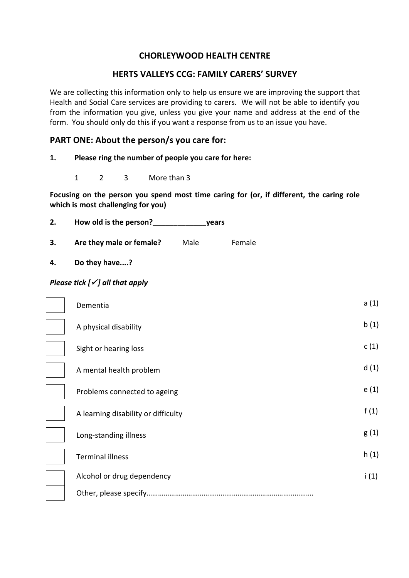# **CHORLEYWOOD HEALTH CENTRE**

# **HERTS VALLEYS CCG: FAMILY CARERS' SURVEY**

We are collecting this information only to help us ensure we are improving the support that Health and Social Care services are providing to carers. We will not be able to identify you from the information you give, unless you give your name and address at the end of the form. You should only do this if you want a response from us to an issue you have.

# **PART ONE: About the person/s you care for:**

- 1. Please ring the number of people you care for here:
	- 1 2 3 More than 3

Focusing on the person you spend most time caring for (or, if different, the caring role which is most challenging for you)

| How old is the person? | vears |
|------------------------|-------|
|                        |       |

**3.** Are they male or female? Male Female

**4. Do they have....?**

# *Please tick* [ $\checkmark$ ] all that apply

| Dementia                            | a(1) |
|-------------------------------------|------|
| A physical disability               | b(1) |
| Sight or hearing loss               | c(1) |
| A mental health problem             | d(1) |
| Problems connected to ageing        | e(1) |
| A learning disability or difficulty | f(1) |
| Long-standing illness               | g(1) |
| <b>Terminal illness</b>             | h(1) |
| Alcohol or drug dependency          | i(1) |
| Other, please specify               |      |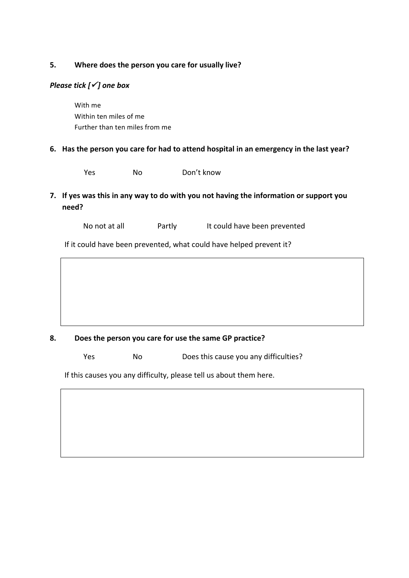# **5.** Where does the person you care for usually live?

# *Please tick* [ $\checkmark$ ] one box

With me Within ten miles of me Further than ten miles from me

## 6. Has the person you care for had to attend hospital in an emergency in the last year?

Yes No Don't know

**7.** If yes was this in any way to do with you not having the information or support you **need?**

No not at all **Partly** It could have been prevented

If it could have been prevented, what could have helped prevent it?

# 8. Does the person you care for use the same GP practice?

Yes No Does this cause you any difficulties? 

If this causes you any difficulty, please tell us about them here.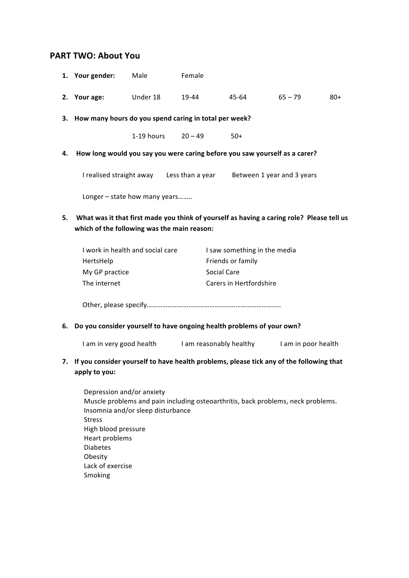# **PART TWO: About You**

|    | 1. Your gender:                                                                                                                          | Male       | Female    |                              |                                                                      |       |
|----|------------------------------------------------------------------------------------------------------------------------------------------|------------|-----------|------------------------------|----------------------------------------------------------------------|-------|
|    | 2. Your age:                                                                                                                             | Under 18   | 19-44     | 45-64                        | $65 - 79$                                                            | $80+$ |
|    | 3. How many hours do you spend caring in total per week?                                                                                 |            |           |                              |                                                                      |       |
|    |                                                                                                                                          | 1-19 hours | $20 - 49$ | $50+$                        |                                                                      |       |
| 4. | How long would you say you were caring before you saw yourself as a carer?                                                               |            |           |                              |                                                                      |       |
|    |                                                                                                                                          |            |           |                              | I realised straight away Less than a year Between 1 year and 3 years |       |
|    | Longer - state how many years                                                                                                            |            |           |                              |                                                                      |       |
|    | What was it that first made you think of yourself as having a caring role? Please tell us<br>which of the following was the main reason: |            |           |                              |                                                                      |       |
| 5. |                                                                                                                                          |            |           |                              |                                                                      |       |
|    | I work in health and social care                                                                                                         |            |           | I saw something in the media |                                                                      |       |
|    | HertsHelp                                                                                                                                |            |           | Friends or family            |                                                                      |       |
|    | My GP practice                                                                                                                           |            |           | <b>Social Care</b>           |                                                                      |       |
|    | The internet                                                                                                                             |            |           | Carers in Hertfordshire      |                                                                      |       |
|    |                                                                                                                                          |            |           |                              |                                                                      |       |
| 6. | Do you consider yourself to have ongoing health problems of your own?                                                                    |            |           |                              |                                                                      |       |

7. If you consider yourself to have health problems, please tick any of the following that **apply to you:**

Depression and/or anxiety Muscle problems and pain including osteoarthritis, back problems, neck problems. Insomnia and/or sleep disturbance Stress High blood pressure Heart problems Diabetes Obesity Lack of exercise Smoking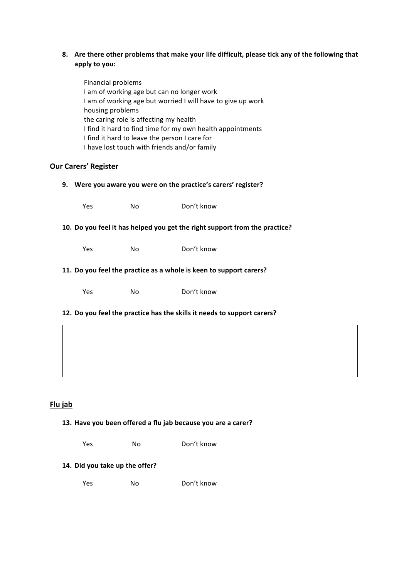## 8. Are there other problems that make your life difficult, please tick any of the following that **apply to you:**

Financial problems I am of working age but can no longer work I am of working age but worried I will have to give up work housing problems the caring role is affecting my health I find it hard to find time for my own health appointments I find it hard to leave the person I care for I have lost touch with friends and/or family

## **Our Carers' Register**

| Were you aware you were on the practice's carers' register?<br>9.          |     |            |  |  |
|----------------------------------------------------------------------------|-----|------------|--|--|
| Yes                                                                        | No. | Don't know |  |  |
| 10. Do you feel it has helped you get the right support from the practice? |     |            |  |  |
| Yes                                                                        | No. | Don't know |  |  |
| 11. Do you feel the practice as a whole is keen to support carers?         |     |            |  |  |
| Yes                                                                        | No. | Don't know |  |  |
| 12. Do you feel the practice has the skills it needs to support carers?    |     |            |  |  |

# **Flu jab**

#### 13. Have you been offered a flu jab because you are a carer?

Yes No Don't know

### **14. Did you take up the offer?**

Yes No Don't know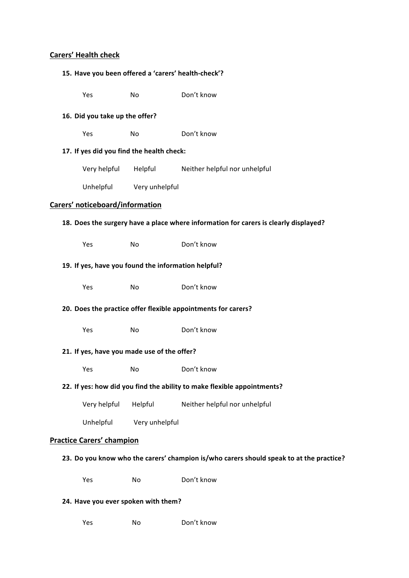### **Carers' Health check**

#### 15. Have you been offered a 'carers' health-check'?

Yes No Don't know

#### **16. Did you take up the offer?**

Yes No Don't know

### 17. If yes did you find the health check:

Very helpful Helpful Neither helpful nor unhelpful

Unhelpful Very unhelpful

### **Carers' noticeboard/information**

#### 18. Does the surgery have a place where information for carers is clearly displayed?

Yes No Don't know

#### 19. If yes, have you found the information helpful?

Yes No Don't know

#### **20.** Does the practice offer flexible appointments for carers?

Yes No Don't know

### **21. If yes, have you made use of the offer?**

Yes No Don't know

#### **22. If yes: how did you find the ability to make flexible appointments?**

Very helpful Helpful Neither helpful nor unhelpful

Unhelpful Very unhelpful

### **Practice Carers' champion**

- 23. Do you know who the carers' champion is/who carers should speak to at the practice?
	- Yes No Don't know

### **24. Have you ever spoken with them?**

Yes No Don't know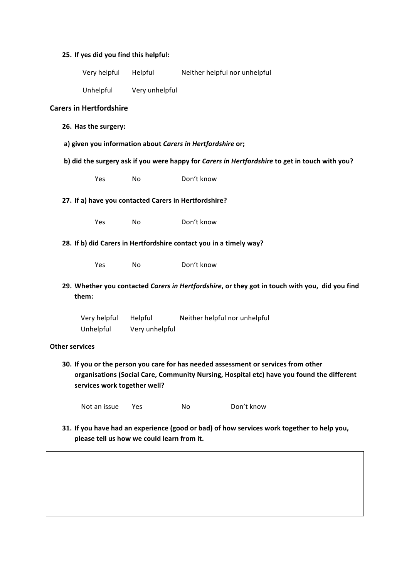### **25. If yes did you find this helpful:**

|                                                                                                         | Very helpful                   | Helpful                   | Neither helpful nor unhelpful                                                                  |  |
|---------------------------------------------------------------------------------------------------------|--------------------------------|---------------------------|------------------------------------------------------------------------------------------------|--|
|                                                                                                         | Unhelpful                      | Very unhelpful            |                                                                                                |  |
|                                                                                                         | <b>Carers in Hertfordshire</b> |                           |                                                                                                |  |
|                                                                                                         | 26. Has the surgery:           |                           |                                                                                                |  |
|                                                                                                         |                                |                           | a) given you information about Carers in Hertfordshire or;                                     |  |
|                                                                                                         |                                |                           | b) did the surgery ask if you were happy for Carers in Hertfordshire to get in touch with you? |  |
|                                                                                                         | Yes                            | No                        | Don't know                                                                                     |  |
| 27. If a) have you contacted Carers in Hertfordshire?                                                   |                                |                           |                                                                                                |  |
|                                                                                                         | Yes                            | <b>No</b>                 | Don't know                                                                                     |  |
| 28. If b) did Carers in Hertfordshire contact you in a timely way?                                      |                                |                           |                                                                                                |  |
|                                                                                                         | Yes                            | No                        | Don't know                                                                                     |  |
| 29. Whether you contacted Carers in Hertfordshire, or they got in touch with you, did you find<br>them: |                                |                           |                                                                                                |  |
|                                                                                                         | Very helpful<br>Unhelpful      | Helpful<br>Very unhelpful | Neither helpful nor unhelpful                                                                  |  |
| <b>Other services</b>                                                                                   |                                |                           |                                                                                                |  |

**30.** If you or the person you care for has needed assessment or services from other organisations (Social Care, Community Nursing, Hospital etc) have you found the different services work together well?

Not an issue Yes No Don't know

**31.** If you have had an experience (good or bad) of how services work together to help you, please tell us how we could learn from it.